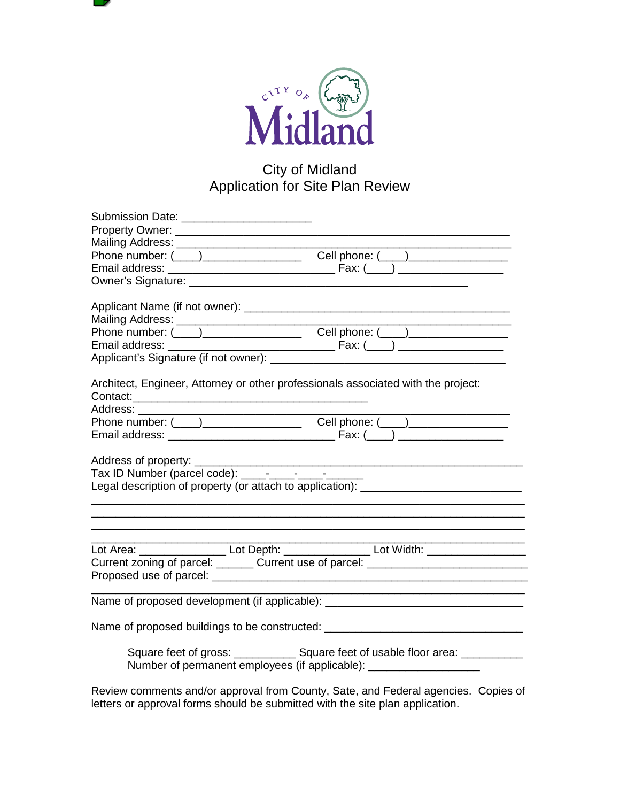

# City of Midland Application for Site Plan Review

| Submission Date: _________________________                                        |                                                                                                                                                                                               |
|-----------------------------------------------------------------------------------|-----------------------------------------------------------------------------------------------------------------------------------------------------------------------------------------------|
|                                                                                   |                                                                                                                                                                                               |
|                                                                                   |                                                                                                                                                                                               |
|                                                                                   |                                                                                                                                                                                               |
|                                                                                   |                                                                                                                                                                                               |
|                                                                                   |                                                                                                                                                                                               |
|                                                                                   |                                                                                                                                                                                               |
|                                                                                   |                                                                                                                                                                                               |
|                                                                                   |                                                                                                                                                                                               |
|                                                                                   |                                                                                                                                                                                               |
|                                                                                   |                                                                                                                                                                                               |
| Architect, Engineer, Attorney or other professionals associated with the project: |                                                                                                                                                                                               |
|                                                                                   |                                                                                                                                                                                               |
| Address: ________                                                                 |                                                                                                                                                                                               |
|                                                                                   |                                                                                                                                                                                               |
|                                                                                   |                                                                                                                                                                                               |
| Address of property:                                                              |                                                                                                                                                                                               |
|                                                                                   |                                                                                                                                                                                               |
| Legal description of property (or attach to application): ______________________  |                                                                                                                                                                                               |
|                                                                                   |                                                                                                                                                                                               |
|                                                                                   | and the control of the control of the<br>the control of the control of the control of<br>Lot Area: ______________________ Lot Depth: ________________________Lot Width: _____________________ |
|                                                                                   | Current zoning of parcel: _______ Current use of parcel: _______________________                                                                                                              |
|                                                                                   |                                                                                                                                                                                               |
|                                                                                   | Name of proposed development (if applicable): __________________________________                                                                                                              |
|                                                                                   | Name of proposed buildings to be constructed: __________________________________                                                                                                              |
| Number of permanent employees (if applicable): _________________________________  | Square feet of gross: _______________ Square feet of usable floor area: _________                                                                                                             |
|                                                                                   |                                                                                                                                                                                               |

Review comments and/or approval from County, Sate, and Federal agencies. Copies of letters or approval forms should be submitted with the site plan application.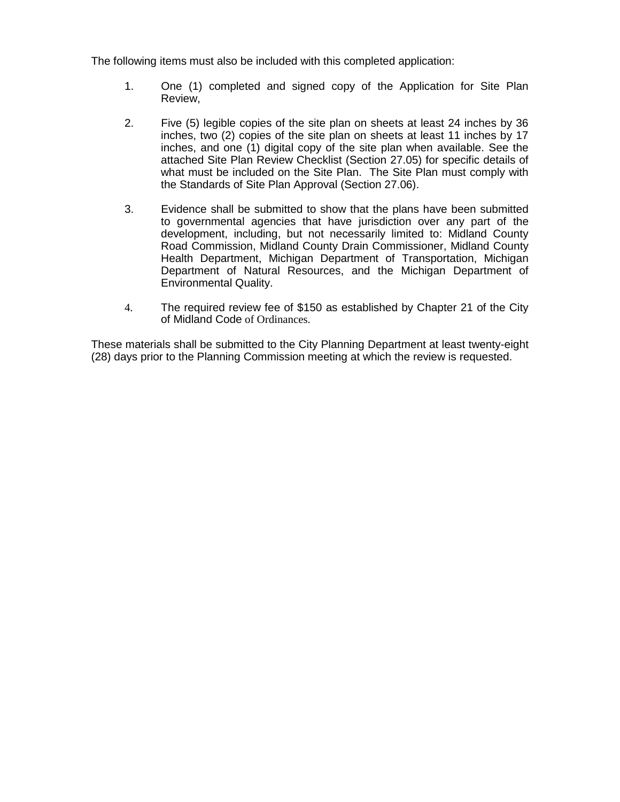The following items must also be included with this completed application:

- 1. One (1) completed and signed copy of the Application for Site Plan Review,
- 2. Five (5) legible copies of the site plan on sheets at least 24 inches by 36 inches, two (2) copies of the site plan on sheets at least 11 inches by 17 inches, and one (1) digital copy of the site plan when available. See the attached Site Plan Review Checklist (Section 27.05) for specific details of what must be included on the Site Plan. The Site Plan must comply with the Standards of Site Plan Approval (Section 27.06).
- 3. Evidence shall be submitted to show that the plans have been submitted to governmental agencies that have jurisdiction over any part of the development, including, but not necessarily limited to: Midland County Road Commission, Midland County Drain Commissioner, Midland County Health Department, Michigan Department of Transportation, Michigan Department of Natural Resources, and the Michigan Department of Environmental Quality.
- 4. The required review fee of \$150 as established by Chapter 21 of the City of Midland Code of Ordinances.

These materials shall be submitted to the City Planning Department at least twenty-eight (28) days prior to the Planning Commission meeting at which the review is requested.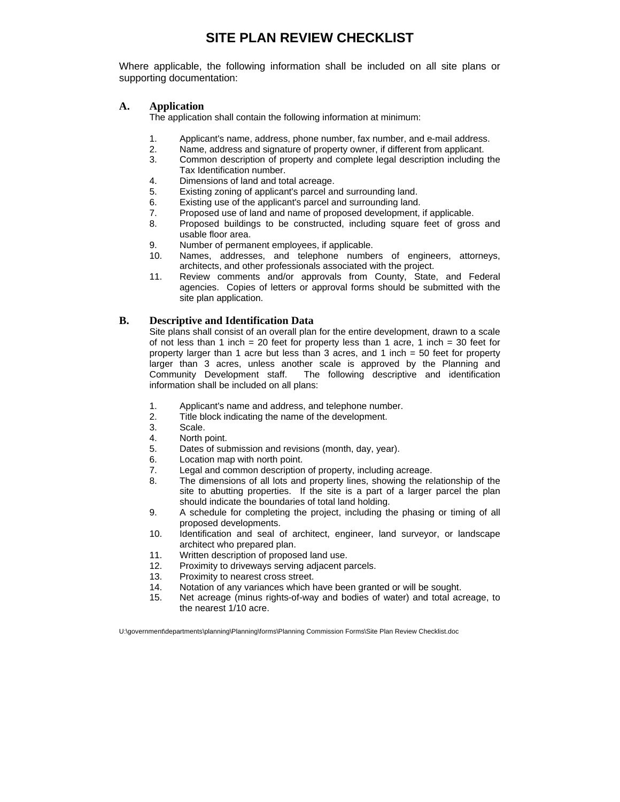# **SITE PLAN REVIEW CHECKLIST**

Where applicable, the following information shall be included on all site plans or supporting documentation:

### **A. Application**

The application shall contain the following information at minimum:

- 1. Applicant's name, address, phone number, fax number, and e-mail address.
- 2. Name, address and signature of property owner, if different from applicant.
- 3. Common description of property and complete legal description including the Tax Identification number.
- 4. Dimensions of land and total acreage.
- 5. Existing zoning of applicant's parcel and surrounding land.
- 6. Existing use of the applicant's parcel and surrounding land.
- 7. Proposed use of land and name of proposed development, if applicable.
- 8. Proposed buildings to be constructed, including square feet of gross and usable floor area.
- 9. Number of permanent employees, if applicable.
- 10. Names, addresses, and telephone numbers of engineers, attorneys, architects, and other professionals associated with the project.
- 11. Review comments and/or approvals from County, State, and Federal agencies. Copies of letters or approval forms should be submitted with the site plan application.

### **B. Descriptive and Identification Data**

Site plans shall consist of an overall plan for the entire development, drawn to a scale of not less than 1 inch = 20 feet for property less than 1 acre, 1 inch = 30 feet for property larger than 1 acre but less than 3 acres, and 1 inch = 50 feet for property larger than 3 acres, unless another scale is approved by the Planning and Community Development staff. The following descriptive and identification information shall be included on all plans:

- 1. Applicant's name and address, and telephone number.
- 2. Title block indicating the name of the development.
- 3. Scale.
- 4. North point.
- 5. Dates of submission and revisions (month, day, year).
- 6. Location map with north point.
- 7. Legal and common description of property, including acreage.
- 8. The dimensions of all lots and property lines, showing the relationship of the site to abutting properties. If the site is a part of a larger parcel the plan should indicate the boundaries of total land holding.
- 9. A schedule for completing the project, including the phasing or timing of all proposed developments.
- 10. Identification and seal of architect, engineer, land surveyor, or landscape architect who prepared plan.
- 11. Written description of proposed land use.
- 12. Proximity to driveways serving adjacent parcels.
- 13. Proximity to nearest cross street.
- 14. Notation of any variances which have been granted or will be sought.
- 15. Net acreage (minus rights-of-way and bodies of water) and total acreage, to the nearest 1/10 acre.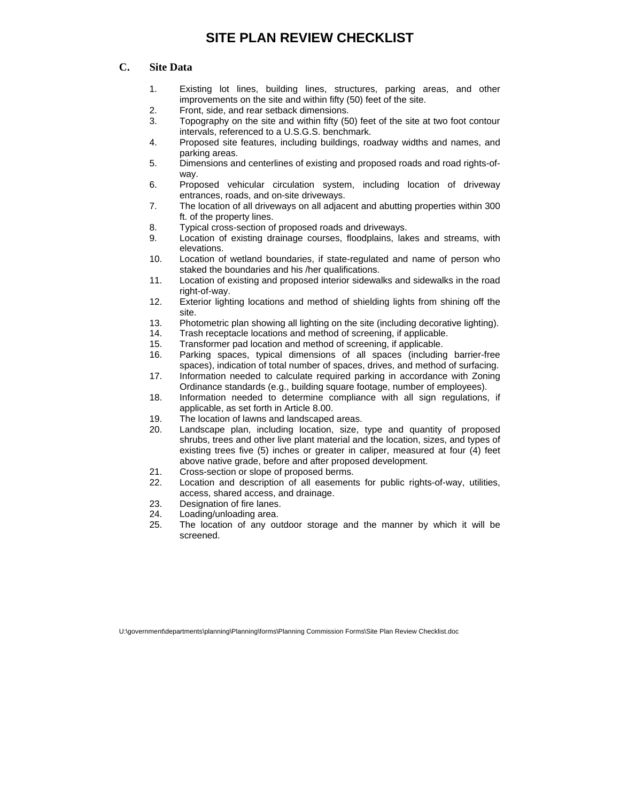# **SITE PLAN REVIEW CHECKLIST**

### **C. Site Data**

- 1. Existing lot lines, building lines, structures, parking areas, and other improvements on the site and within fifty (50) feet of the site.
- 2. Front, side, and rear setback dimensions.
- 3. Topography on the site and within fifty (50) feet of the site at two foot contour intervals, referenced to a U.S.G.S. benchmark.
- 4. Proposed site features, including buildings, roadway widths and names, and parking areas.
- 5. Dimensions and centerlines of existing and proposed roads and road rights-ofway.
- 6. Proposed vehicular circulation system, including location of driveway entrances, roads, and on-site driveways.
- 7. The location of all driveways on all adjacent and abutting properties within 300 ft. of the property lines.
- 8. Typical cross-section of proposed roads and driveways.
- 9. Location of existing drainage courses, floodplains, lakes and streams, with elevations.
- 10. Location of wetland boundaries, if state-regulated and name of person who staked the boundaries and his /her qualifications.
- 11. Location of existing and proposed interior sidewalks and sidewalks in the road right-of-way.
- 12. Exterior lighting locations and method of shielding lights from shining off the site.
- 13. Photometric plan showing all lighting on the site (including decorative lighting).
- 14. Trash receptacle locations and method of screening, if applicable.
- 15. Transformer pad location and method of screening, if applicable.
- 16. Parking spaces, typical dimensions of all spaces (including barrier-free spaces), indication of total number of spaces, drives, and method of surfacing.
- 17. Information needed to calculate required parking in accordance with Zoning Ordinance standards (e.g., building square footage, number of employees).
- 18. Information needed to determine compliance with all sign regulations, if applicable, as set forth in Article 8.00.
- 19. The location of lawns and landscaped areas.
- 20. Landscape plan, including location, size, type and quantity of proposed shrubs, trees and other live plant material and the location, sizes, and types of existing trees five (5) inches or greater in caliper, measured at four (4) feet above native grade, before and after proposed development.
- 21. Cross-section or slope of proposed berms.
- 22. Location and description of all easements for public rights-of-way, utilities, access, shared access, and drainage.
- 23. Designation of fire lanes.
- 24. Loading/unloading area.
- 25. The location of any outdoor storage and the manner by which it will be screened.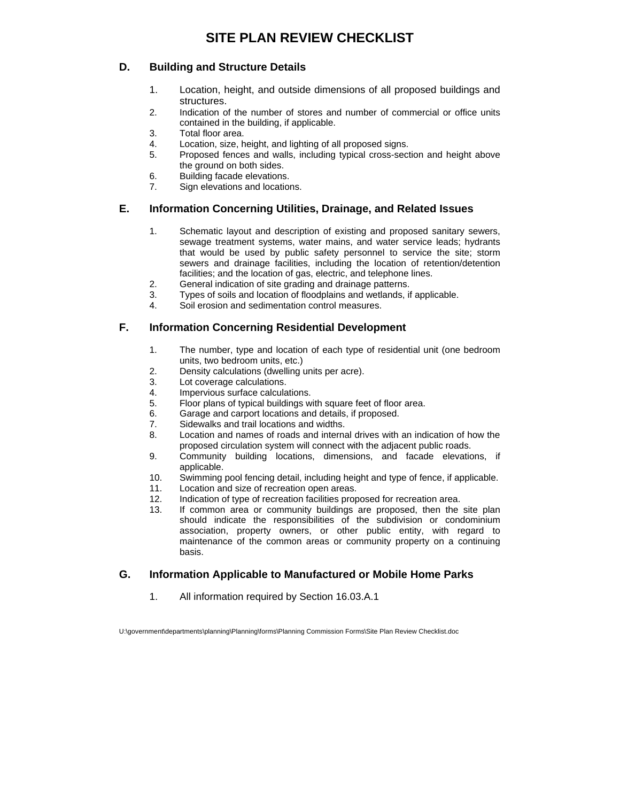## **D. Building and Structure Details**

- 1. Location, height, and outside dimensions of all proposed buildings and structures.
- 2. Indication of the number of stores and number of commercial or office units contained in the building, if applicable.
- 3. Total floor area.
- 4. Location, size, height, and lighting of all proposed signs.
- 5. Proposed fences and walls, including typical cross-section and height above the ground on both sides.
- 6. Building facade elevations.
- 7. Sign elevations and locations.

# **E. Information Concerning Utilities, Drainage, and Related Issues**

- 1. Schematic layout and description of existing and proposed sanitary sewers, sewage treatment systems, water mains, and water service leads; hydrants that would be used by public safety personnel to service the site; storm sewers and drainage facilities, including the location of retention/detention facilities; and the location of gas, electric, and telephone lines.
- 2. General indication of site grading and drainage patterns.
- 3. Types of soils and location of floodplains and wetlands, if applicable.
- 4. Soil erosion and sedimentation control measures.

## **F. Information Concerning Residential Development**

- 1. The number, type and location of each type of residential unit (one bedroom units, two bedroom units, etc.)
- 2. Density calculations (dwelling units per acre).
- 3. Lot coverage calculations.
- 4. Impervious surface calculations.
- 5. Floor plans of typical buildings with square feet of floor area.
- 6. Garage and carport locations and details, if proposed.
- 7. Sidewalks and trail locations and widths.
- 8. Location and names of roads and internal drives with an indication of how the proposed circulation system will connect with the adjacent public roads.
- 9. Community building locations, dimensions, and facade elevations, if applicable.
- 10. Swimming pool fencing detail, including height and type of fence, if applicable.
- 11. Location and size of recreation open areas.
- 12. Indication of type of recreation facilities proposed for recreation area.
- 13. If common area or community buildings are proposed, then the site plan should indicate the responsibilities of the subdivision or condominium association, property owners, or other public entity, with regard to maintenance of the common areas or community property on a continuing basis.

## **G. Information Applicable to Manufactured or Mobile Home Parks**

1. All information required by Section 16.03.A.1